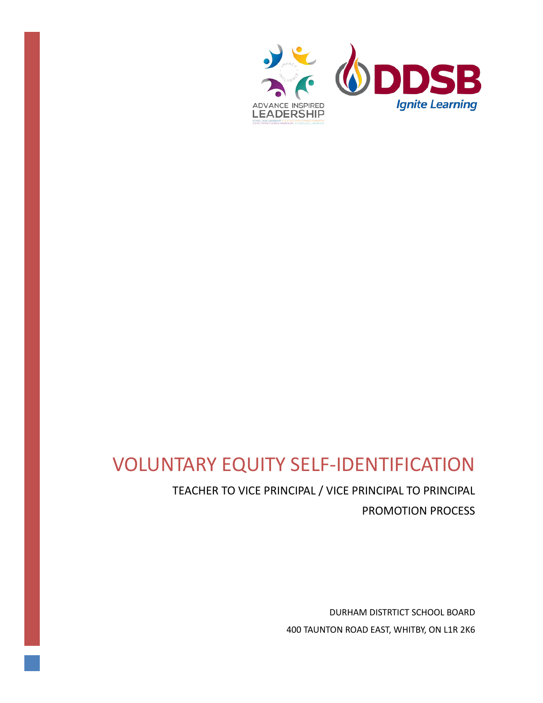

# VOLUNTARY EQUITY SELF-IDENTIFICATION

TEACHER TO VICE PRINCIPAL / VICE PRINCIPAL TO PRINCIPAL PROMOTION PROCESS

> DURHAM DISTRTICT SCHOOL BOARD 400 TAUNTON ROAD EAST, WHITBY, ON L1R 2K6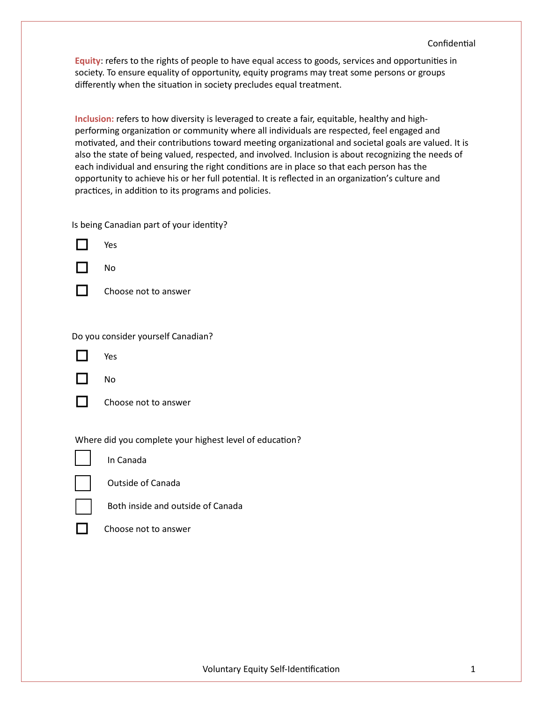**Equity**: refers to the rights of people to have equal access to goods, services and opportuni�es in society. To ensure equality of opportunity, equity programs may treat some persons or groups differently when the situation in society precludes equal treatment.

**Inclusion:** refers to how diversity is leveraged to create a fair, equitable, healthy and highperforming organization or community where all individuals are respected, feel engaged and motivated, and their contributions toward meeting organizational and societal goals are valued. It is also the state of being valued, respected, and involved. Inclusion is about recognizing the needs of each individual and ensuring the right conditions are in place so that each person has the opportunity to achieve his or her full potential. It is reflected in an organization's culture and practices, in addition to its programs and policies.

Is being Canadian part of your identity?



No

**T** Choose not to answer

Do you consider yourself Canadian?



Yes

No

Choose not to answer

Where did you complete your highest level of education?



In Canada



Outside of Canada



Both inside and outside of Canada



Choose not to answer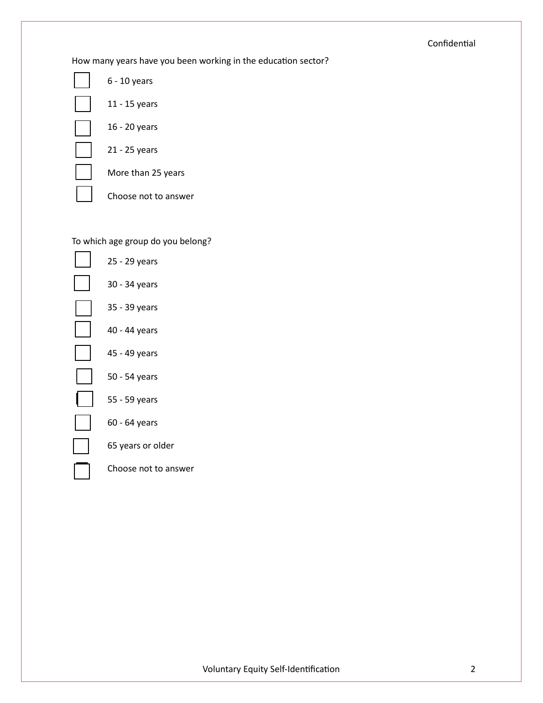# Confidential

How many years have you been working in the education sector?

| 6 - 10 years         |
|----------------------|
| 11 - 15 years        |
| 16 - 20 years        |
| 21 - 25 years        |
| More than 25 years   |
| Choose not to answer |

# To which age group do you belong?

| 25 - 29 years        |
|----------------------|
| 30 - 34 years        |
| 35 - 39 years        |
| 40 - 44 years        |
| 45 - 49 years        |
| 50 - 54 years        |
| 55 - 59 years        |
| 60 - 64 years        |
| 65 years or older    |
| Choose not to answer |
|                      |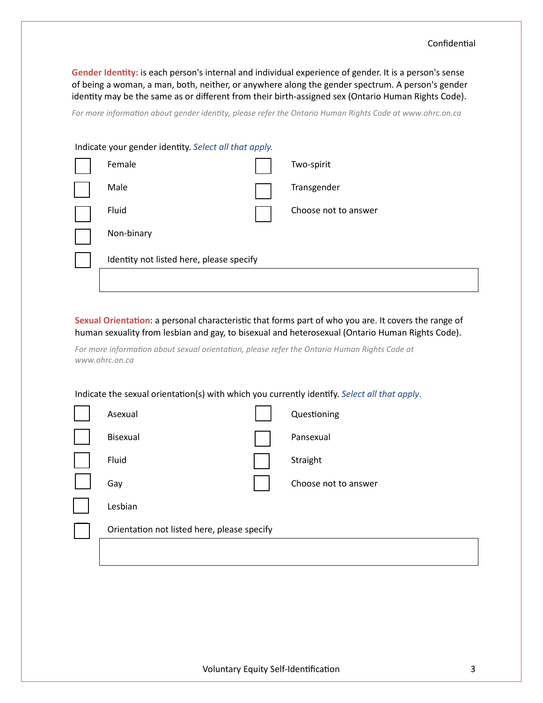Gender Identity: is each person's internal and individual experience of gender. It is a person's sense of being a woman, a man, both, neither, or anywhere along the gender spectrum. A person's gender identity may be the same as or different from their birth-assigned sex (Ontario Human Rights Code).

*For more information about gender identity, please refer the Ontario Human Rights Code at www.ohrc.on.ca*

| Indicate your gender identity. Select all that apply. |                                          |  |                      |  |  |
|-------------------------------------------------------|------------------------------------------|--|----------------------|--|--|
|                                                       | Female                                   |  | Two-spirit           |  |  |
|                                                       | Male                                     |  | Transgender          |  |  |
|                                                       | Fluid                                    |  | Choose not to answer |  |  |
|                                                       | Non-binary                               |  |                      |  |  |
|                                                       | Identity not listed here, please specify |  |                      |  |  |
|                                                       |                                          |  |                      |  |  |

Sexual Orientation: a personal characteristic that forms part of who you are. It covers the range of human sexuality from lesbian and gay, to bisexual and heterosexual (Ontario Human Rights Code).

*For more information about sexual orientation, please refer the Ontario Human Rights Code at www.ohrc.on.ca*

Indicate the sexual orientation(s) with which you currently identify. *Select all that apply*.

| Asexual                                     | Questioning          |
|---------------------------------------------|----------------------|
| Bisexual                                    | Pansexual            |
| Fluid                                       | Straight             |
| Gay                                         | Choose not to answer |
| Lesbian                                     |                      |
| Orientation not listed here, please specify |                      |
|                                             |                      |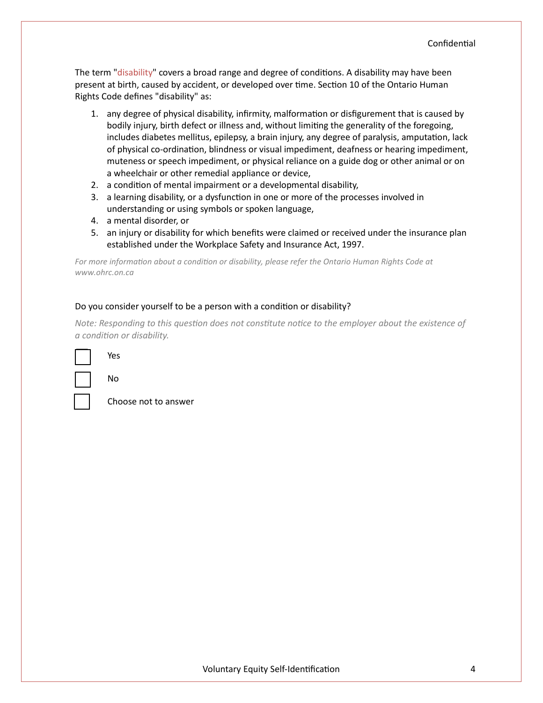The term "disability" covers a broad range and degree of conditions. A disability may have been present at birth, caused by accident, or developed over time. Section 10 of the Ontario Human Rights Code defines "disability" as:

- 1. any degree of physical disability, infirmity, malformation or disfigurement that is caused by bodily injury, birth defect or illness and, without limiting the generality of the foregoing, includes diabetes mellitus, epilepsy, a brain injury, any degree of paralysis, amputation, lack of physical co-ordination, blindness or visual impediment, deafness or hearing impediment, muteness or speech impediment, or physical reliance on a guide dog or other animal or on a wheelchair or other remedial appliance or device,
- 2. a condition of mental impairment or a developmental disability,
- 3. a learning disability, or a dysfunction in one or more of the processes involved in understanding or using symbols or spoken language,
- 4. a mental disorder, or
- 5. an injury or disability for which benefits were claimed or received under the insurance plan established under the Workplace Safety and Insurance Act, 1997.

*For more information about a condition or disability, please refer the Ontario Human Rights Code at www.ohrc.on.ca*

#### Do you consider yourself to be a person with a condition or disability?

*Note: Responding to this question does not constitute notice to the employer about the existence of a condition or disability.*

|--|

Choose not to answer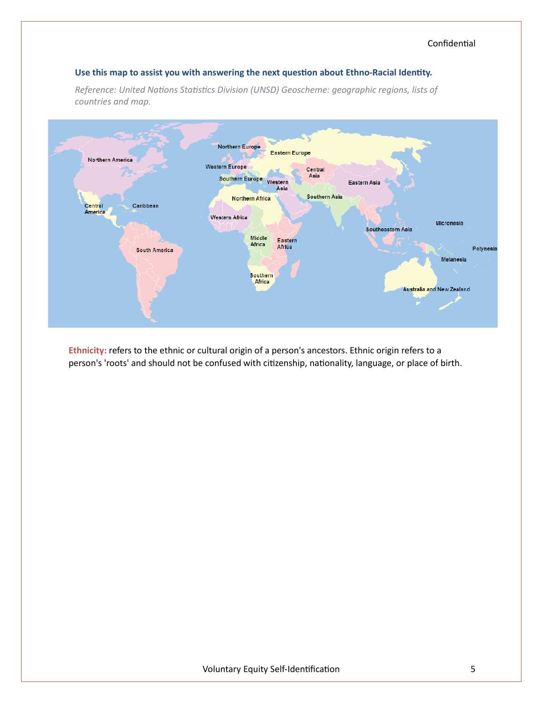### Use this map to assist you with answering the next question about Ethno-Racial Identity.

*Reference: United Nations Statistics Division (UNSD) Geoscheme: geographic regions, lists of countries and map.*



**Ethnicity:** refers to the ethnic or cultural origin of a person's ancestors. Ethnic origin refers to a person's 'roots' and should not be confused with citizenship, nationality, language, or place of birth.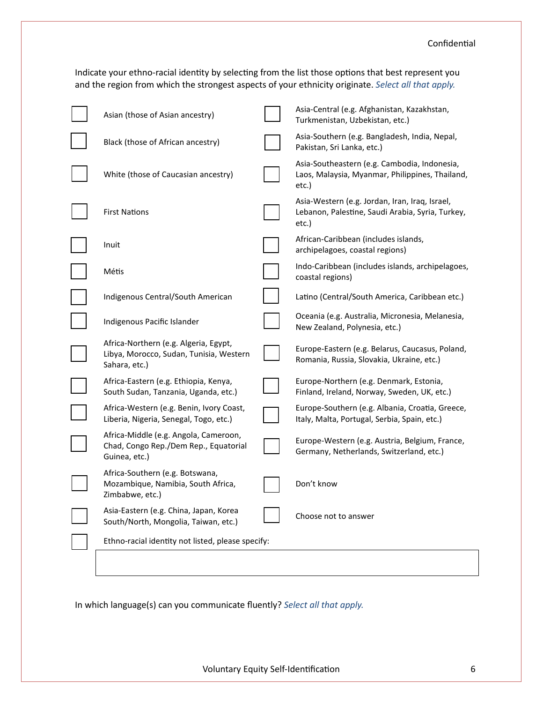Indicate your ethno-racial identity by selecting from the list those options that best represent you and the region from which the strongest aspects of your ethnicity originate. *Select all that apply.*

| Asian (those of Asian ancestry)                                                                   | Asia-Central (e.g. Afghanistan, Kazakhstan,<br>Turkmenistan, Uzbekistan, etc.)                              |
|---------------------------------------------------------------------------------------------------|-------------------------------------------------------------------------------------------------------------|
| Black (those of African ancestry)                                                                 | Asia-Southern (e.g. Bangladesh, India, Nepal,<br>Pakistan, Sri Lanka, etc.)                                 |
| White (those of Caucasian ancestry)                                                               | Asia-Southeastern (e.g. Cambodia, Indonesia,<br>Laos, Malaysia, Myanmar, Philippines, Thailand,<br>etc.)    |
| <b>First Nations</b>                                                                              | Asia-Western (e.g. Jordan, Iran, Iraq, Israel,<br>Lebanon, Palestine, Saudi Arabia, Syria, Turkey,<br>etc.) |
| Inuit                                                                                             | African-Caribbean (includes islands,<br>archipelagoes, coastal regions)                                     |
| Métis                                                                                             | Indo-Caribbean (includes islands, archipelagoes,<br>coastal regions)                                        |
| Indigenous Central/South American                                                                 | Latino (Central/South America, Caribbean etc.)                                                              |
| Indigenous Pacific Islander                                                                       | Oceania (e.g. Australia, Micronesia, Melanesia,<br>New Zealand, Polynesia, etc.)                            |
| Africa-Northern (e.g. Algeria, Egypt,<br>Libya, Morocco, Sudan, Tunisia, Western<br>Sahara, etc.) | Europe-Eastern (e.g. Belarus, Caucasus, Poland,<br>Romania, Russia, Slovakia, Ukraine, etc.)                |
| Africa-Eastern (e.g. Ethiopia, Kenya,<br>South Sudan, Tanzania, Uganda, etc.)                     | Europe-Northern (e.g. Denmark, Estonia,<br>Finland, Ireland, Norway, Sweden, UK, etc.)                      |
| Africa-Western (e.g. Benin, Ivory Coast,<br>Liberia, Nigeria, Senegal, Togo, etc.)                | Europe-Southern (e.g. Albania, Croatia, Greece,<br>Italy, Malta, Portugal, Serbia, Spain, etc.)             |
| Africa-Middle (e.g. Angola, Cameroon,<br>Chad, Congo Rep./Dem Rep., Equatorial<br>Guinea, etc.)   | Europe-Western (e.g. Austria, Belgium, France,<br>Germany, Netherlands, Switzerland, etc.)                  |
| Africa-Southern (e.g. Botswana,<br>Mozambique, Namibia, South Africa,<br>Zimbabwe, etc.)          | Don't know                                                                                                  |
| Asia-Eastern (e.g. China, Japan, Korea<br>South/North, Mongolia, Taiwan, etc.)                    | Choose not to answer                                                                                        |
| Ethno-racial identity not listed, please specify:                                                 |                                                                                                             |
|                                                                                                   |                                                                                                             |

In which language(s) can you communicate fluently? *Select all that apply.*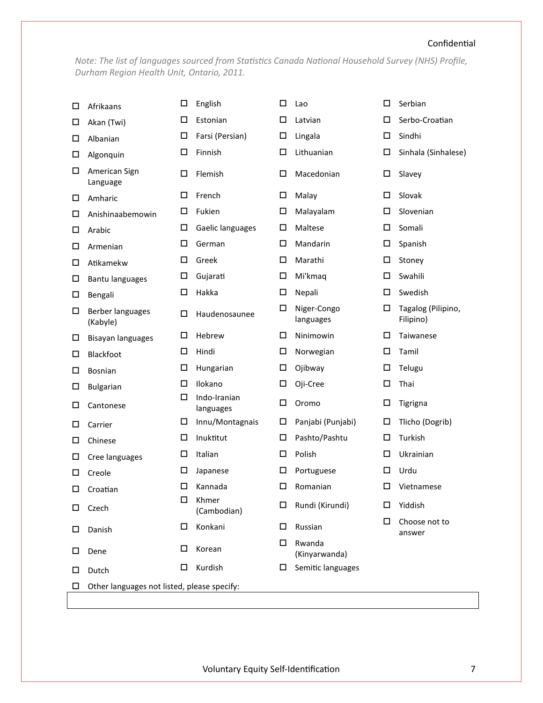# Confidential

*Note: The list of languages sourced from Statistics Canada National Household Survey (NHS) Profile, Durham Region Health Unit, Ontario, 2011.*

| □ | Afrikaans                                   | □ | English                   | □ | Lao                      | $\Box$ | Serbian                         |
|---|---------------------------------------------|---|---------------------------|---|--------------------------|--------|---------------------------------|
| □ | Akan (Twi)                                  | □ | Estonian                  | □ | Latvian                  | □      | Serbo-Croatian                  |
| □ | Albanian                                    | □ | Farsi (Persian)           | □ | Lingala                  | □      | Sindhi                          |
| □ | Algonquin                                   | □ | Finnish                   | □ | Lithuanian               | □      | Sinhala (Sinhalese)             |
| □ | American Sign<br>Language                   | □ | Flemish                   | □ | Macedonian               | □      | Slavey                          |
| □ | Amharic                                     | □ | French                    | □ | Malay                    | □      | Slovak                          |
| □ | Anishinaabemowin                            | □ | Fukien                    | □ | Malayalam                | □      | Slovenian                       |
| □ | Arabic                                      | □ | Gaelic languages          | □ | Maltese                  | □      | Somali                          |
| □ | Armenian                                    | □ | German                    | □ | Mandarin                 | □      | Spanish                         |
| □ | Atikamekw                                   | □ | Greek                     | □ | Marathi                  | □      | Stoney                          |
| □ | <b>Bantu languages</b>                      | □ | Gujarati                  | □ | Mi'kmaq                  | □      | Swahili                         |
| □ | Bengali                                     | □ | Hakka                     | □ | Nepali                   | □      | Swedish                         |
| □ | Berber languages<br>(Kabyle)                | □ | Haudenosaunee             | □ | Niger-Congo<br>languages | □      | Tagalog (Pilipino,<br>Filipino) |
| □ | Bisayan languages                           | □ | Hebrew                    | □ | Ninimowin                | □      | Taiwanese                       |
| □ | Blackfoot                                   | □ | Hindi                     | □ | Norwegian                | □      | Tamil                           |
| □ | Bosnian                                     | □ | Hungarian                 | □ | Ojibway                  | □      | Telugu                          |
| □ | <b>Bulgarian</b>                            | □ | Ilokano                   | ◻ | Oji-Cree                 | $\Box$ | Thai                            |
| □ | Cantonese                                   | □ | Indo-Iranian<br>languages | □ | Oromo                    | □      | Tigrigna                        |
| □ | Carrier                                     | □ | Innu/Montagnais           | ◻ | Panjabi (Punjabi)        | □      | Tlicho (Dogrib)                 |
| □ | Chinese                                     | □ | Inuktitut                 | ◻ | Pashto/Pashtu            | $\Box$ | Turkish                         |
| □ | Cree languages                              | □ | Italian                   | ◻ | Polish                   | □      | Ukrainian                       |
| □ | Creole                                      | ⊔ | Japanese                  | □ | Portuguese               | □      | Urdu                            |
| □ | Croatian                                    | □ | Kannada                   | ◻ | Romanian                 | $\Box$ | Vietnamese                      |
| ш | Czech                                       | □ | Khmer<br>(Cambodian)      | ◻ | Rundi (Kirundi)          | □      | Yiddish                         |
| □ | Danish                                      | □ | Konkani                   | □ | Russian                  | □      | Choose not to<br>answer         |
| □ | Dene                                        | □ | Korean                    | ◻ | Rwanda<br>(Kinyarwanda)  |        |                                 |
| ш | Dutch                                       | □ | Kurdish                   | □ | Semitic languages        |        |                                 |
| □ | Other languages not listed, please specify: |   |                           |   |                          |        |                                 |
|   |                                             |   |                           |   |                          |        |                                 |